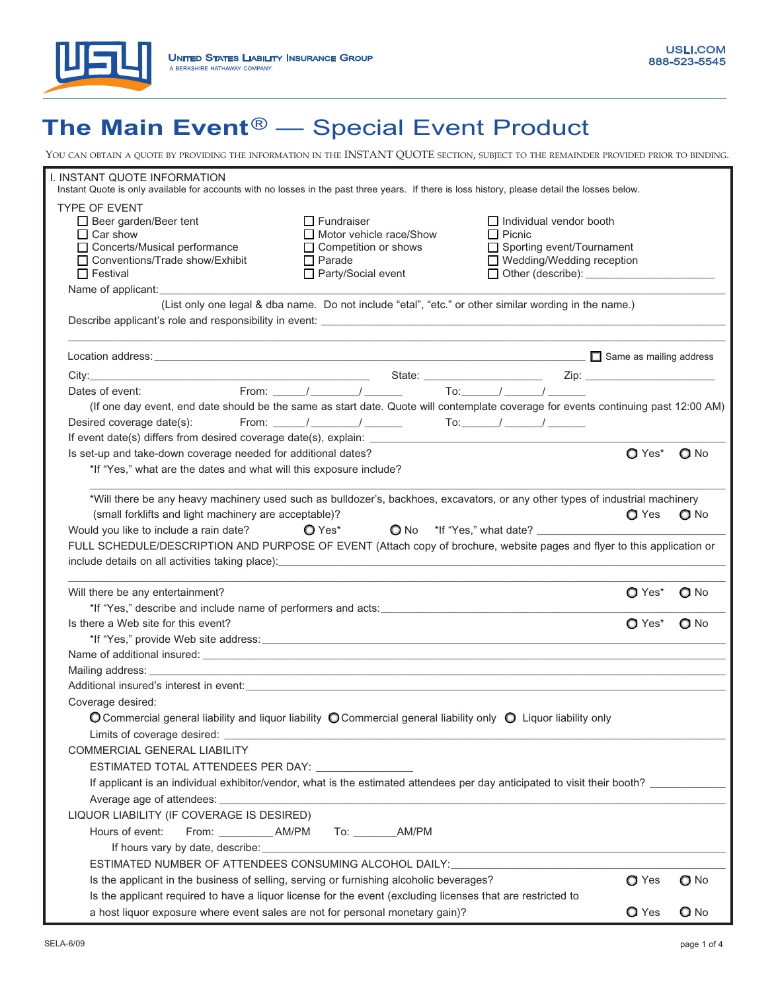

# **The Main Event**® — Special Event Product

| YOU CAN OBTAIN A QUOTE BY PROVIDING THE INFORMATION IN THE INSTANT QUOTE SECTION, SUBJECT TO THE REMAINDER PROVIDED PRIOR TO BINDING.                                                                                                                                                                                                                                                                                                                                                                                                                                                                                                                                                    |                             |               |  |  |  |
|------------------------------------------------------------------------------------------------------------------------------------------------------------------------------------------------------------------------------------------------------------------------------------------------------------------------------------------------------------------------------------------------------------------------------------------------------------------------------------------------------------------------------------------------------------------------------------------------------------------------------------------------------------------------------------------|-----------------------------|---------------|--|--|--|
| I. INSTANT QUOTE INFORMATION<br>Instant Quote is only available for accounts with no losses in the past three years. If there is loss history, please detail the losses below.                                                                                                                                                                                                                                                                                                                                                                                                                                                                                                           |                             |               |  |  |  |
| TYPE OF EVENT<br>$\Box$ Fundraiser<br>$\Box$ Individual vendor booth<br>$\Box$ Beer garden/Beer tent<br>Motor vehicle race/Show<br>$\Box$ Car show<br>$\Box$ Picnic<br>□ Concerts/Musical performance<br>$\Box$ Competition or shows<br>□ Sporting event/Tournament<br>□ Conventions/Trade show/Exhibit<br>□ Wedding/Wedding reception<br>$\Box$ Parade<br>□ Party/Social event<br>$\Box$ Festival<br>Other (describe): <u>_______________________</u><br>Name of applicant: Name of applicant and the state of the state of the state of the state of the state of the state of the state of the state of the state of the state of the state of the state of the state of the state of |                             |               |  |  |  |
| (List only one legal & dba name. Do not include "etal", "etc." or other similar wording in the name.)                                                                                                                                                                                                                                                                                                                                                                                                                                                                                                                                                                                    |                             |               |  |  |  |
|                                                                                                                                                                                                                                                                                                                                                                                                                                                                                                                                                                                                                                                                                          |                             |               |  |  |  |
|                                                                                                                                                                                                                                                                                                                                                                                                                                                                                                                                                                                                                                                                                          |                             |               |  |  |  |
| From: ______/ ________/ ________ To: ______/ _______/ _________<br>Dates of event:                                                                                                                                                                                                                                                                                                                                                                                                                                                                                                                                                                                                       |                             |               |  |  |  |
| (If one day event, end date should be the same as start date. Quote will contemplate coverage for events continuing past 12:00 AM)                                                                                                                                                                                                                                                                                                                                                                                                                                                                                                                                                       |                             |               |  |  |  |
| From: ______/ ________/ ________ To:______/ _______/ ________<br>Desired coverage date(s):                                                                                                                                                                                                                                                                                                                                                                                                                                                                                                                                                                                               |                             |               |  |  |  |
|                                                                                                                                                                                                                                                                                                                                                                                                                                                                                                                                                                                                                                                                                          |                             |               |  |  |  |
| Is set-up and take-down coverage needed for additional dates?                                                                                                                                                                                                                                                                                                                                                                                                                                                                                                                                                                                                                            | $\Omega$ Yes <sup>*</sup>   | $Q$ No        |  |  |  |
| *If "Yes," what are the dates and what will this exposure include?                                                                                                                                                                                                                                                                                                                                                                                                                                                                                                                                                                                                                       |                             |               |  |  |  |
| *Will there be any heavy machinery used such as bulldozer's, backhoes, excavators, or any other types of industrial machinery<br>(small forklifts and light machinery are acceptable)?<br>$Q$ Yes* $Q$ No *If "Yes," what date? $\qquad \qquad$<br>Would you like to include a rain date?<br>FULL SCHEDULE/DESCRIPTION AND PURPOSE OF EVENT (Attach copy of brochure, website pages and flyer to this application or<br>include details on all activities taking place): <b>All any of the control of the control of the control of the control of the control of the control of the control of the control of the control of the control of the control</b>                             | $\Omega$ Yes                | $Q$ No        |  |  |  |
| Will there be any entertainment?                                                                                                                                                                                                                                                                                                                                                                                                                                                                                                                                                                                                                                                         | $\bigcirc$ Yes <sup>*</sup> | $\bigcirc$ No |  |  |  |
|                                                                                                                                                                                                                                                                                                                                                                                                                                                                                                                                                                                                                                                                                          |                             |               |  |  |  |
| Is there a Web site for this event?                                                                                                                                                                                                                                                                                                                                                                                                                                                                                                                                                                                                                                                      | $\Omega$ Yes <sup>*</sup>   | $Q$ No        |  |  |  |
| Name of additional insured: example and the state of the state of the state of additional insured:                                                                                                                                                                                                                                                                                                                                                                                                                                                                                                                                                                                       |                             |               |  |  |  |
|                                                                                                                                                                                                                                                                                                                                                                                                                                                                                                                                                                                                                                                                                          |                             |               |  |  |  |
|                                                                                                                                                                                                                                                                                                                                                                                                                                                                                                                                                                                                                                                                                          |                             |               |  |  |  |
| Coverage desired:                                                                                                                                                                                                                                                                                                                                                                                                                                                                                                                                                                                                                                                                        |                             |               |  |  |  |
| $\bigcirc$ Commercial general liability and liquor liability $\bigcirc$ Commercial general liability only $\bigcirc$ Liquor liability only                                                                                                                                                                                                                                                                                                                                                                                                                                                                                                                                               |                             |               |  |  |  |
|                                                                                                                                                                                                                                                                                                                                                                                                                                                                                                                                                                                                                                                                                          |                             |               |  |  |  |
| COMMERCIAL GENERAL LIABILITY                                                                                                                                                                                                                                                                                                                                                                                                                                                                                                                                                                                                                                                             |                             |               |  |  |  |
| ESTIMATED TOTAL ATTENDEES PER DAY: _______________                                                                                                                                                                                                                                                                                                                                                                                                                                                                                                                                                                                                                                       |                             |               |  |  |  |
| If applicant is an individual exhibitor/vendor, what is the estimated attendees per day anticipated to visit their booth? ___________                                                                                                                                                                                                                                                                                                                                                                                                                                                                                                                                                    |                             |               |  |  |  |
|                                                                                                                                                                                                                                                                                                                                                                                                                                                                                                                                                                                                                                                                                          |                             |               |  |  |  |
| LIQUOR LIABILITY (IF COVERAGE IS DESIRED)                                                                                                                                                                                                                                                                                                                                                                                                                                                                                                                                                                                                                                                |                             |               |  |  |  |
| Hours of event:<br>From: _____________ AM/PM To: ________ AM/PM                                                                                                                                                                                                                                                                                                                                                                                                                                                                                                                                                                                                                          |                             |               |  |  |  |
|                                                                                                                                                                                                                                                                                                                                                                                                                                                                                                                                                                                                                                                                                          |                             |               |  |  |  |
| ESTIMATED NUMBER OF ATTENDEES CONSUMING ALCOHOL DAILY: UNIVERSITY AND ANNOUNCED AT A REPORT OF A STATE AND THE                                                                                                                                                                                                                                                                                                                                                                                                                                                                                                                                                                           |                             |               |  |  |  |
| Is the applicant in the business of selling, serving or furnishing alcoholic beverages?                                                                                                                                                                                                                                                                                                                                                                                                                                                                                                                                                                                                  | $OY$ es                     | $O$ No        |  |  |  |
| Is the applicant required to have a liquor license for the event (excluding licenses that are restricted to                                                                                                                                                                                                                                                                                                                                                                                                                                                                                                                                                                              |                             |               |  |  |  |
| a host liquor exposure where event sales are not for personal monetary gain)?                                                                                                                                                                                                                                                                                                                                                                                                                                                                                                                                                                                                            | Q Yes                       | $Q$ No        |  |  |  |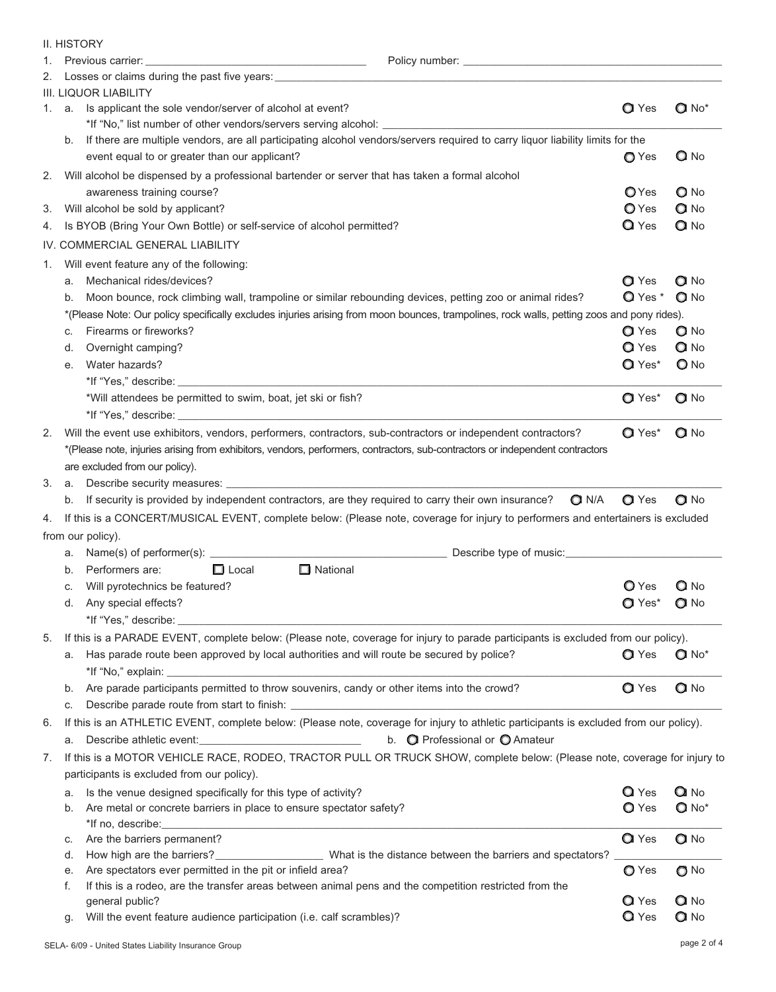|    |    | <b>II. HISTORY</b>                                                                                                                                                                                                                                                                                    |                |                     |
|----|----|-------------------------------------------------------------------------------------------------------------------------------------------------------------------------------------------------------------------------------------------------------------------------------------------------------|----------------|---------------------|
| 1. |    |                                                                                                                                                                                                                                                                                                       |                |                     |
| 2. |    | Losses or claims during the past five years:                                                                                                                                                                                                                                                          |                |                     |
|    |    | <b>III. LIQUOR LIABILITY</b>                                                                                                                                                                                                                                                                          |                |                     |
|    |    | 1. a. Is applicant the sole vendor/server of alcohol at event?                                                                                                                                                                                                                                        | <b>Q</b> Yes   | $Q$ No <sup>*</sup> |
|    |    | *If "No," list number of other vendors/servers serving alcohol: _________________                                                                                                                                                                                                                     |                |                     |
|    | b. | If there are multiple vendors, are all participating alcohol vendors/servers required to carry liquor liability limits for the                                                                                                                                                                        |                |                     |
|    |    | event equal to or greater than our applicant?                                                                                                                                                                                                                                                         | O Yes          | $Q$ No              |
| 2. |    | Will alcohol be dispensed by a professional bartender or server that has taken a formal alcohol                                                                                                                                                                                                       |                |                     |
|    |    | awareness training course?                                                                                                                                                                                                                                                                            | <b>O</b> Yes   | $\bigcirc$ No       |
| 3. |    | Will alcohol be sold by applicant?                                                                                                                                                                                                                                                                    | $\bigcirc$ Yes | $Q$ No              |
| 4. |    | Is BYOB (Bring Your Own Bottle) or self-service of alcohol permitted?                                                                                                                                                                                                                                 | $\alpha$ Yes   | $Q$ No              |
|    |    | IV. COMMERCIAL GENERAL LIABILITY                                                                                                                                                                                                                                                                      |                |                     |
| 1. |    | Will event feature any of the following:                                                                                                                                                                                                                                                              |                |                     |
|    | a. | Mechanical rides/devices?                                                                                                                                                                                                                                                                             | QYes           | QN                  |
|    | b. | Moon bounce, rock climbing wall, trampoline or similar rebounding devices, petting zoo or animal rides?                                                                                                                                                                                               | $Q$ Yes $*$    | $Q$ No              |
|    |    | *(Please Note: Our policy specifically excludes injuries arising from moon bounces, trampolines, rock walls, petting zoos and pony rides).                                                                                                                                                            |                |                     |
|    | c. | Firearms or fireworks?                                                                                                                                                                                                                                                                                | <b>Q</b> Yes   | $Q$ No              |
|    | d. | Overnight camping?                                                                                                                                                                                                                                                                                    | Q Yes          | $Q$ No              |
|    | е. | Water hazards?                                                                                                                                                                                                                                                                                        | $QYes*$        | $O$ No              |
|    |    |                                                                                                                                                                                                                                                                                                       |                |                     |
|    |    | *Will attendees be permitted to swim, boat, jet ski or fish?                                                                                                                                                                                                                                          | $QYes*$        | $Q$ No              |
|    |    |                                                                                                                                                                                                                                                                                                       |                |                     |
| 2. |    | Will the event use exhibitors, vendors, performers, contractors, sub-contractors or independent contractors?                                                                                                                                                                                          | $QYes*$        | $Q$ No              |
|    |    | *(Please note, injuries arising from exhibitors, vendors, performers, contractors, sub-contractors or independent contractors                                                                                                                                                                         |                |                     |
|    |    | are excluded from our policy).                                                                                                                                                                                                                                                                        |                |                     |
| 3. | а. |                                                                                                                                                                                                                                                                                                       |                |                     |
|    | b. | If security is provided by independent contractors, are they required to carry their own insurance?<br>$Q$ N/A                                                                                                                                                                                        | <b>Q</b> Yes   | $Q$ No              |
| 4. |    | If this is a CONCERT/MUSICAL EVENT, complete below: (Please note, coverage for injury to performers and entertainers is excluded                                                                                                                                                                      |                |                     |
|    |    | from our policy).                                                                                                                                                                                                                                                                                     |                |                     |
|    |    | a. Name(s) of performer(s): example and the set of the set of the set of the set of the set of the set of the set of the set of the set of the set of the set of the set of the set of the set of the set of the set of the se                                                                        |                |                     |
|    |    | $\Box$ National<br>b. Performers are:<br>$\Box$ Local                                                                                                                                                                                                                                                 |                |                     |
|    | с. | Will pyrotechnics be featured?                                                                                                                                                                                                                                                                        | <b>Q</b> Yes   | $Q$ No              |
|    | d. | Any special effects?                                                                                                                                                                                                                                                                                  | $Q$ Yes*       | $Q$ No              |
|    |    |                                                                                                                                                                                                                                                                                                       |                |                     |
| 5. |    | If this is a PARADE EVENT, complete below: (Please note, coverage for injury to parade participants is excluded from our policy).                                                                                                                                                                     |                |                     |
|    | a. | Has parade route been approved by local authorities and will route be secured by police?                                                                                                                                                                                                              | <b>Q</b> Yes   | $Q$ No <sup>*</sup> |
|    | b. | Are parade participants permitted to throw souvenirs, candy or other items into the crowd?                                                                                                                                                                                                            | <b>Q</b> Yes   | $Q$ No              |
|    | С. |                                                                                                                                                                                                                                                                                                       |                |                     |
| 6. |    | If this is an ATHLETIC EVENT, complete below: (Please note, coverage for injury to athletic participants is excluded from our policy).                                                                                                                                                                |                |                     |
|    | a. | Describe athletic event:<br><u>Describe athletic</u> event:<br>b. O Professional or O Amateur                                                                                                                                                                                                         |                |                     |
| 7. |    | If this is a MOTOR VEHICLE RACE, RODEO, TRACTOR PULL OR TRUCK SHOW, complete below: (Please note, coverage for injury to                                                                                                                                                                              |                |                     |
|    |    | participants is excluded from our policy).                                                                                                                                                                                                                                                            |                |                     |
|    | а. | Is the venue designed specifically for this type of activity?                                                                                                                                                                                                                                         | Q Yes          | QN                  |
|    | b. | Are metal or concrete barriers in place to ensure spectator safety?<br>*If no, describe: the contract of the contract of the contract of the contract of the contract of the contract of the contract of the contract of the contract of the contract of the contract of the contract of the contract | <b>Q</b> Yes   | $Q$ No <sup>*</sup> |
|    | с. | Are the barriers permanent?                                                                                                                                                                                                                                                                           | <b>Q</b> Yes   | $Q$ No              |
|    | d. |                                                                                                                                                                                                                                                                                                       |                |                     |
|    | е. | Are spectators ever permitted in the pit or infield area?                                                                                                                                                                                                                                             | O Yes          | $\bigcirc$ No       |
|    | f. | If this is a rodeo, are the transfer areas between animal pens and the competition restricted from the                                                                                                                                                                                                |                |                     |
|    |    | general public?<br>Will the event feature audience participation (i.e. calf scrambles)?                                                                                                                                                                                                               | Q Yes<br>Q Yes | QN<br>Q No          |
|    | g. |                                                                                                                                                                                                                                                                                                       |                |                     |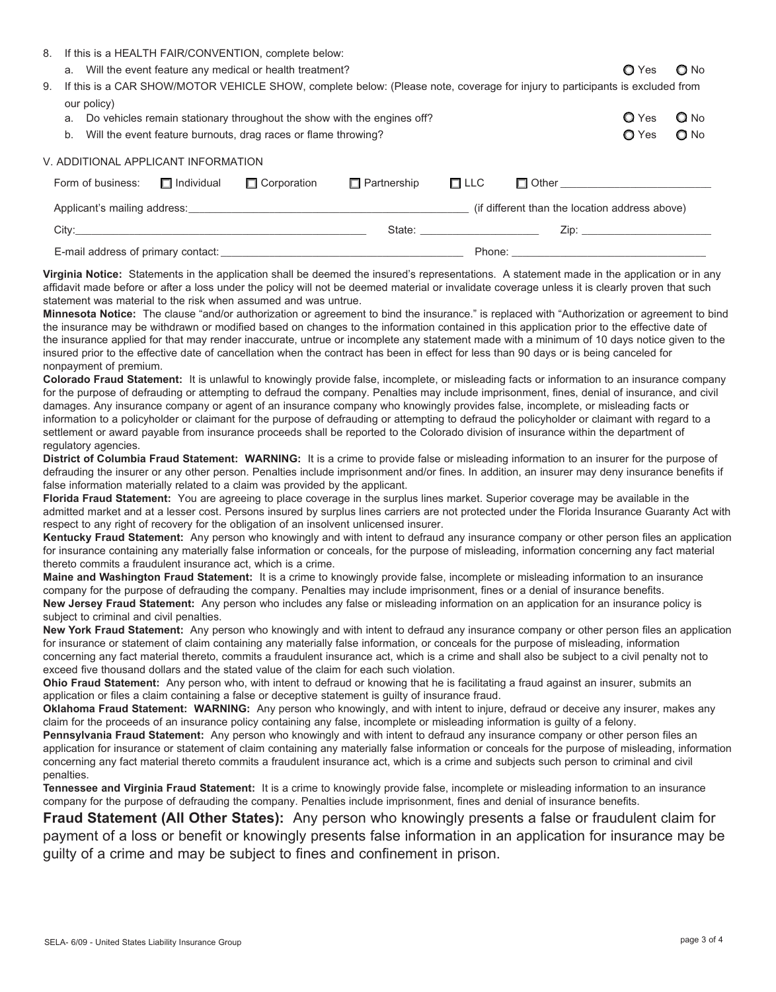SELA- 6/09 - United States Liability Insurance Group page 3 of 4

### 8. If this is a HEALTH FAIR/CONVENTION, complete below:

- a. Will the event feature any medical or health treatment?  $\Box$  Yes  $\Box$  Yes  $\Box$  No
- 9. If this is a CAR SHOW/MOTOR VEHICLE SHOW, complete below: (Please note, coverage for injury to participants is excluded from our policy)
	- a. Do vehicles remain stationary throughout the show with the engines off?  $\Box$  Yes  $\Box$  Yes  $\Box$  No
	- b. Will the event feature burnouts, drag races or flame throwing?  $\bigcirc$  Yes  $\bigcirc$  No

## V. ADDITIONAL APPLICANT INFORMATION

| Form of business:                  | $\Box$ Individual | $\Box$ Corporation | $\Box$ Partnership | $\Box$ LLC | $\Box$ Other $\Box$                                                                                             |
|------------------------------------|-------------------|--------------------|--------------------|------------|-----------------------------------------------------------------------------------------------------------------|
|                                    |                   |                    |                    |            | (if different than the location address above)                                                                  |
| City:                              |                   |                    | State:             |            | Zip: The Side of the Side of the Side of the Side of the Side of the Side of the Side of the Side of the Side o |
| E-mail address of primary contact: |                   |                    |                    | Phone:     |                                                                                                                 |

**Virginia Notice:** Statements in the application shall be deemed the insured's representations. A statement made in the application or in any affidavit made before or after a loss under the policy will not be deemed material or invalidate coverage unless it is clearly proven that such statement was material to the risk when assumed and was untrue.

**Minnesota Notice:** The clause "and/or authorization or agreement to bind the insurance." is replaced with "Authorization or agreement to bind the insurance may be withdrawn or modified based on changes to the information contained in this application prior to the effective date of the insurance applied for that may render inaccurate, untrue or incomplete any statement made with a minimum of 10 days notice given to the insured prior to the effective date of cancellation when the contract has been in effect for less than 90 days or is being canceled for nonpayment of premium.

**Colorado Fraud Statement:** It is unlawful to knowingly provide false, incomplete, or misleading facts or information to an insurance company for the purpose of defrauding or attempting to defraud the company. Penalties may include imprisonment, fines, denial of insurance, and civil damages. Any insurance company or agent of an insurance company who knowingly provides false, incomplete, or misleading facts or information to a policyholder or claimant for the purpose of defrauding or attempting to defraud the policyholder or claimant with regard to a settlement or award payable from insurance proceeds shall be reported to the Colorado division of insurance within the department of regulatory agencies.

**District of Columbia Fraud Statement: WARNING:** It is a crime to provide false or misleading information to an insurer for the purpose of defrauding the insurer or any other person. Penalties include imprisonment and/or fines. In addition, an insurer may deny insurance benefits if false information materially related to a claim was provided by the applicant.

**Florida Fraud Statement:** You are agreeing to place coverage in the surplus lines market. Superior coverage may be available in the admitted market and at a lesser cost. Persons insured by surplus lines carriers are not protected under the Florida Insurance Guaranty Act with respect to any right of recovery for the obligation of an insolvent unlicensed insurer.

**Kentucky Fraud Statement:** Any person who knowingly and with intent to defraud any insurance company or other person files an application for insurance containing any materially false information or conceals, for the purpose of misleading, information concerning any fact material thereto commits a fraudulent insurance act, which is a crime.

**Maine and Washington Fraud Statement:** It is a crime to knowingly provide false, incomplete or misleading information to an insurance company for the purpose of defrauding the company. Penalties may include imprisonment, fines or a denial of insurance benefits. **New Jersey Fraud Statement:** Any person who includes any false or misleading information on an application for an insurance policy is subject to criminal and civil penalties.

**New York Fraud Statement:** Any person who knowingly and with intent to defraud any insurance company or other person files an application for insurance or statement of claim containing any materially false information, or conceals for the purpose of misleading, information concerning any fact material thereto, commits a fraudulent insurance act, which is a crime and shall also be subject to a civil penalty not to exceed five thousand dollars and the stated value of the claim for each such violation.

**Ohio Fraud Statement:** Any person who, with intent to defraud or knowing that he is facilitating a fraud against an insurer, submits an application or files a claim containing a false or deceptive statement is guilty of insurance fraud.

**Oklahoma Fraud Statement: WARNING:** Any person who knowingly, and with intent to injure, defraud or deceive any insurer, makes any claim for the proceeds of an insurance policy containing any false, incomplete or misleading information is guilty of a felony.

**Pennsylvania Fraud Statement:** Any person who knowingly and with intent to defraud any insurance company or other person files an application for insurance or statement of claim containing any materially false information or conceals for the purpose of misleading, information concerning any fact material thereto commits a fraudulent insurance act, which is a crime and subjects such person to criminal and civil penalties.

**Tennessee and Virginia Fraud Statement:** It is a crime to knowingly provide false, incomplete or misleading information to an insurance company for the purpose of defrauding the company. Penalties include imprisonment, fines and denial of insurance benefits.

**Fraud Statement (All Other States):** Any person who knowingly presents a false or fraudulent claim for payment of a loss or benefit or knowingly presents false information in an application for insurance may be guilty of a crime and may be subject to fines and confinement in prison.